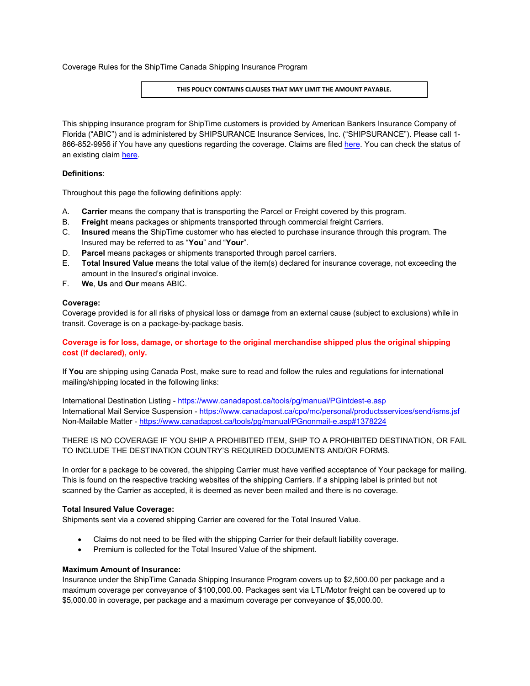Coverage Rules for the ShipTime Canada Shipping Insurance Program

## **THIS POLICY CONTAINS CLAUSES THAT MAY LIMIT THE AMOUNT PAYABLE.**

This shipping insurance program for ShipTime customers is provided by American Bankers Insurance Company of Florida ("ABIC") and is administered by SHIPSURANCE Insurance Services, Inc. ("SHIPSURANCE"). Please call 1- 866-852-9956 if You have any questions regarding the coverage. Claims are filed [here.](https://www.dsiins.com/extclaims/?cid=shiptimeca) You can check the status of an existing claim [here.](https://www.dsiins.com/claimstatus/?cid=shiptimeca)

# **Definitions**:

Throughout this page the following definitions apply:

- A. **Carrier** means the company that is transporting the Parcel or Freight covered by this program.
- B. **Freight** means packages or shipments transported through commercial freight Carriers.
- C. **Insured** means the ShipTime customer who has elected to purchase insurance through this program. The Insured may be referred to as "**You**" and "**Your**".
- D. **Parcel** means packages or shipments transported through parcel carriers.
- E. **Total Insured Value** means the total value of the item(s) declared for insurance coverage, not exceeding the amount in the Insured's original invoice.
- F. **We**, **Us** and **Our** means ABIC.

## **Coverage:**

Coverage provided is for all risks of physical loss or damage from an external cause (subject to exclusions) while in transit. Coverage is on a package-by-package basis.

# **Coverage is for loss, damage, or shortage to the original merchandise shipped plus the original shipping cost (if declared), only.**

If **You** are shipping using Canada Post, make sure to read and follow the rules and regulations for international mailing/shipping located in the following links:

International Destination Listing - <https://www.canadapost.ca/tools/pg/manual/PGintdest-e.asp> International Mail Service Suspension - <https://www.canadapost.ca/cpo/mc/personal/productsservices/send/isms.jsf> Non-Mailable Matter - <https://www.canadapost.ca/tools/pg/manual/PGnonmail-e.asp#1378224>

# THERE IS NO COVERAGE IF YOU SHIP A PROHIBITED ITEM, SHIP TO A PROHIBITED DESTINATION, OR FAIL TO INCLUDE THE DESTINATION COUNTRY'S REQUIRED DOCUMENTS AND/OR FORMS.

In order for a package to be covered, the shipping Carrier must have verified acceptance of Your package for mailing. This is found on the respective tracking websites of the shipping Carriers. If a shipping label is printed but not scanned by the Carrier as accepted, it is deemed as never been mailed and there is no coverage.

# **Total Insured Value Coverage:**

Shipments sent via a covered shipping Carrier are covered for the Total Insured Value.

- Claims do not need to be filed with the shipping Carrier for their default liability coverage.
- Premium is collected for the Total Insured Value of the shipment.

## **Maximum Amount of Insurance:**

Insurance under the ShipTime Canada Shipping Insurance Program covers up to \$2,500.00 per package and a maximum coverage per conveyance of \$100,000.00. Packages sent via LTL/Motor freight can be covered up to \$5,000.00 in coverage, per package and a maximum coverage per conveyance of \$5,000.00.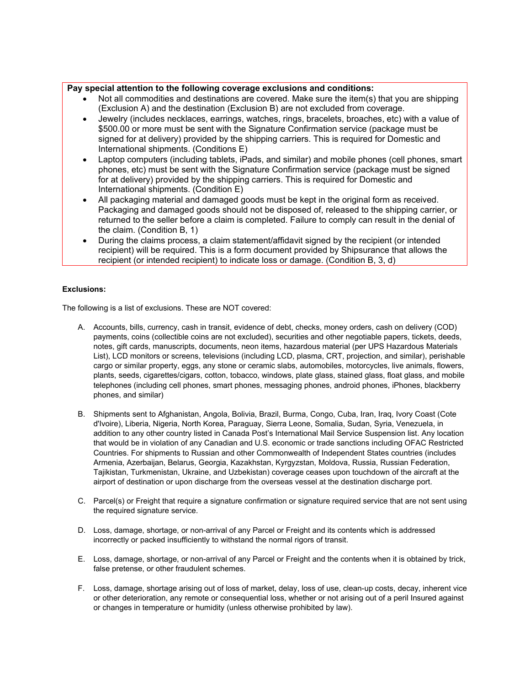## **Pay special attention to the following coverage exclusions and conditions:**

- Not all commodities and destinations are covered. Make sure the item(s) that you are shipping (Exclusion A) and the destination (Exclusion B) are not excluded from coverage.
- Jewelry (includes necklaces, earrings, watches, rings, bracelets, broaches, etc) with a value of \$500.00 or more must be sent with the Signature Confirmation service (package must be signed for at delivery) provided by the shipping carriers. This is required for Domestic and International shipments. (Conditions E)
- Laptop computers (including tablets, iPads, and similar) and mobile phones (cell phones, smart phones, etc) must be sent with the Signature Confirmation service (package must be signed for at delivery) provided by the shipping carriers. This is required for Domestic and International shipments. (Condition E)
- All packaging material and damaged goods must be kept in the original form as received. Packaging and damaged goods should not be disposed of, released to the shipping carrier, or returned to the seller before a claim is completed. Failure to comply can result in the denial of the claim. (Condition B, 1)
- During the claims process, a claim statement/affidavit signed by the recipient (or intended recipient) will be required. This is a form document provided by Shipsurance that allows the recipient (or intended recipient) to indicate loss or damage. (Condition B, 3, d)

## **Exclusions:**

The following is a list of exclusions. These are NOT covered:

- A. Accounts, bills, currency, cash in transit, evidence of debt, checks, money orders, cash on delivery (COD) payments, coins (collectible coins are not excluded), securities and other negotiable papers, tickets, deeds, notes, gift cards, manuscripts, documents, neon items, hazardous material (per UPS Hazardous Materials List), LCD monitors or screens, televisions (including LCD, plasma, CRT, projection, and similar), perishable cargo or similar property, eggs, any stone or ceramic slabs, automobiles, motorcycles, live animals, flowers, plants, seeds, cigarettes/cigars, cotton, tobacco, windows, plate glass, stained glass, float glass, and mobile telephones (including cell phones, smart phones, messaging phones, android phones, iPhones, blackberry phones, and similar)
- B. Shipments sent to Afghanistan, Angola, Bolivia, Brazil, Burma, Congo, Cuba, Iran, Iraq, Ivory Coast (Cote d'Ivoire), Liberia, Nigeria, North Korea, Paraguay, Sierra Leone, Somalia, Sudan, Syria, Venezuela, in addition to any other country listed in Canada Post's International Mail Service Suspension list. Any location that would be in violation of any Canadian and U.S. economic or trade sanctions including OFAC Restricted Countries. For shipments to Russian and other Commonwealth of Independent States countries (includes Armenia, Azerbaijan, Belarus, Georgia, Kazakhstan, Kyrgyzstan, Moldova, Russia, Russian Federation, Tajikistan, Turkmenistan, Ukraine, and Uzbekistan) coverage ceases upon touchdown of the aircraft at the airport of destination or upon discharge from the overseas vessel at the destination discharge port.
- C. Parcel(s) or Freight that require a signature confirmation or signature required service that are not sent using the required signature service.
- D. Loss, damage, shortage, or non-arrival of any Parcel or Freight and its contents which is addressed incorrectly or packed insufficiently to withstand the normal rigors of transit.
- E. Loss, damage, shortage, or non-arrival of any Parcel or Freight and the contents when it is obtained by trick, false pretense, or other fraudulent schemes.
- F. Loss, damage, shortage arising out of loss of market, delay, loss of use, clean-up costs, decay, inherent vice or other deterioration, any remote or consequential loss, whether or not arising out of a peril Insured against or changes in temperature or humidity (unless otherwise prohibited by law).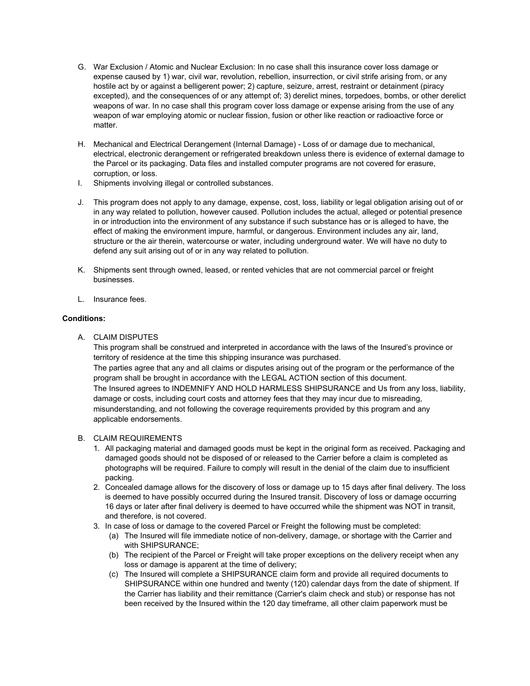- G. War Exclusion / Atomic and Nuclear Exclusion: In no case shall this insurance cover loss damage or expense caused by 1) war, civil war, revolution, rebellion, insurrection, or civil strife arising from, or any hostile act by or against a belligerent power; 2) capture, seizure, arrest, restraint or detainment (piracy excepted), and the consequences of or any attempt of; 3) derelict mines, torpedoes, bombs, or other derelict weapons of war. In no case shall this program cover loss damage or expense arising from the use of any weapon of war employing atomic or nuclear fission, fusion or other like reaction or radioactive force or matter.
- H. Mechanical and Electrical Derangement (Internal Damage) Loss of or damage due to mechanical, electrical, electronic derangement or refrigerated breakdown unless there is evidence of external damage to the Parcel or its packaging. Data files and installed computer programs are not covered for erasure, corruption, or loss.
- I. Shipments involving illegal or controlled substances.
- J. This program does not apply to any damage, expense, cost, loss, liability or legal obligation arising out of or in any way related to pollution, however caused. Pollution includes the actual, alleged or potential presence in or introduction into the environment of any substance if such substance has or is alleged to have, the effect of making the environment impure, harmful, or dangerous. Environment includes any air, land, structure or the air therein, watercourse or water, including underground water. We will have no duty to defend any suit arising out of or in any way related to pollution.
- K. Shipments sent through owned, leased, or rented vehicles that are not commercial parcel or freight businesses.
- L. Insurance fees.

## **Conditions:**

A. CLAIM DISPUTES

This program shall be construed and interpreted in accordance with the laws of the Insured's province or territory of residence at the time this shipping insurance was purchased. The parties agree that any and all claims or disputes arising out of the program or the performance of the program shall be brought in accordance with the LEGAL ACTION section of this document. The Insured agrees to INDEMNIFY AND HOLD HARMLESS SHIPSURANCE and Us from any loss, liability, damage or costs, including court costs and attorney fees that they may incur due to misreading, misunderstanding, and not following the coverage requirements provided by this program and any

applicable endorsements.

# B. CLAIM REQUIREMENTS

- 1. All packaging material and damaged goods must be kept in the original form as received. Packaging and damaged goods should not be disposed of or released to the Carrier before a claim is completed as photographs will be required. Failure to comply will result in the denial of the claim due to insufficient packing.
- 2. Concealed damage allows for the discovery of loss or damage up to 15 days after final delivery. The loss is deemed to have possibly occurred during the Insured transit. Discovery of loss or damage occurring 16 days or later after final delivery is deemed to have occurred while the shipment was NOT in transit, and therefore, is not covered.
- 3. In case of loss or damage to the covered Parcel or Freight the following must be completed:
	- (a) The Insured will file immediate notice of non-delivery, damage, or shortage with the Carrier and with SHIPSURANCE;
	- (b) The recipient of the Parcel or Freight will take proper exceptions on the delivery receipt when any loss or damage is apparent at the time of delivery;
	- (c) The Insured will complete a SHIPSURANCE claim form and provide all required documents to SHIPSURANCE within one hundred and twenty (120) calendar days from the date of shipment. If the Carrier has liability and their remittance (Carrier's claim check and stub) or response has not been received by the Insured within the 120 day timeframe, all other claim paperwork must be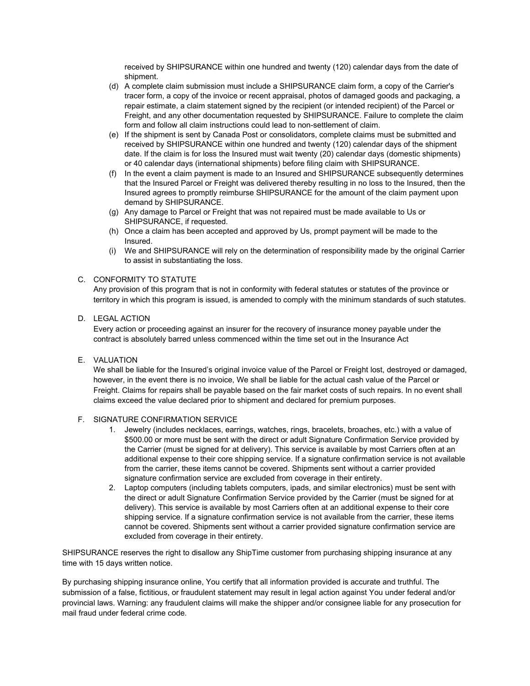received by SHIPSURANCE within one hundred and twenty (120) calendar days from the date of shipment.

- (d) A complete claim submission must include a SHIPSURANCE claim form, a copy of the Carrier's tracer form, a copy of the invoice or recent appraisal, photos of damaged goods and packaging, a repair estimate, a claim statement signed by the recipient (or intended recipient) of the Parcel or Freight, and any other documentation requested by SHIPSURANCE. Failure to complete the claim form and follow all claim instructions could lead to non-settlement of claim.
- (e) If the shipment is sent by Canada Post or consolidators, complete claims must be submitted and received by SHIPSURANCE within one hundred and twenty (120) calendar days of the shipment date. If the claim is for loss the Insured must wait twenty (20) calendar days (domestic shipments) or 40 calendar days (international shipments) before filing claim with SHIPSURANCE.
- (f) In the event a claim payment is made to an Insured and SHIPSURANCE subsequently determines that the Insured Parcel or Freight was delivered thereby resulting in no loss to the Insured, then the Insured agrees to promptly reimburse SHIPSURANCE for the amount of the claim payment upon demand by SHIPSURANCE.
- (g) Any damage to Parcel or Freight that was not repaired must be made available to Us or SHIPSURANCE, if requested.
- (h) Once a claim has been accepted and approved by Us, prompt payment will be made to the Insured.
- (i) We and SHIPSURANCE will rely on the determination of responsibility made by the original Carrier to assist in substantiating the loss.

## C. CONFORMITY TO STATUTE

Any provision of this program that is not in conformity with federal statutes or statutes of the province or territory in which this program is issued, is amended to comply with the minimum standards of such statutes.

## D. LEGAL ACTION

Every action or proceeding against an insurer for the recovery of insurance money payable under the contract is absolutely barred unless commenced within the time set out in the Insurance Act

# E. VALUATION

We shall be liable for the Insured's original invoice value of the Parcel or Freight lost, destroyed or damaged, however, in the event there is no invoice, We shall be liable for the actual cash value of the Parcel or Freight. Claims for repairs shall be payable based on the fair market costs of such repairs. In no event shall claims exceed the value declared prior to shipment and declared for premium purposes.

## F. SIGNATURE CONFIRMATION SERVICE

- 1. Jewelry (includes necklaces, earrings, watches, rings, bracelets, broaches, etc.) with a value of \$500.00 or more must be sent with the direct or adult Signature Confirmation Service provided by the Carrier (must be signed for at delivery). This service is available by most Carriers often at an additional expense to their core shipping service. If a signature confirmation service is not available from the carrier, these items cannot be covered. Shipments sent without a carrier provided signature confirmation service are excluded from coverage in their entirety.
- 2. Laptop computers (including tablets computers, ipads, and similar electronics) must be sent with the direct or adult Signature Confirmation Service provided by the Carrier (must be signed for at delivery). This service is available by most Carriers often at an additional expense to their core shipping service. If a signature confirmation service is not available from the carrier, these items cannot be covered. Shipments sent without a carrier provided signature confirmation service are excluded from coverage in their entirety.

SHIPSURANCE reserves the right to disallow any ShipTime customer from purchasing shipping insurance at any time with 15 days written notice.

By purchasing shipping insurance online, You certify that all information provided is accurate and truthful. The submission of a false, fictitious, or fraudulent statement may result in legal action against You under federal and/or provincial laws. Warning: any fraudulent claims will make the shipper and/or consignee liable for any prosecution for mail fraud under federal crime code.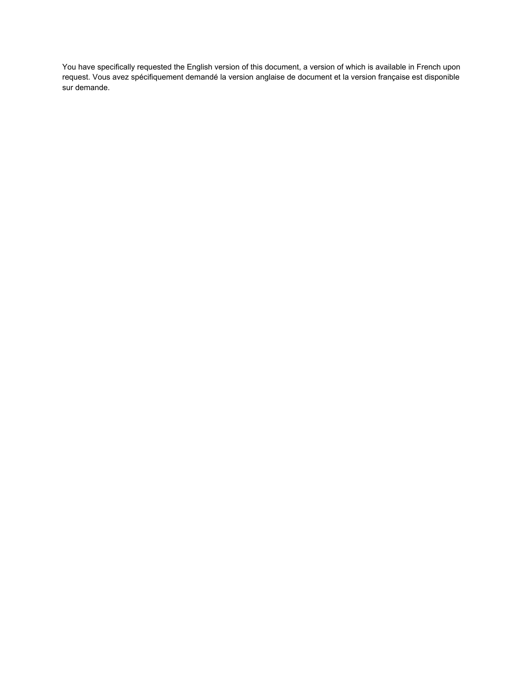You have specifically requested the English version of this document, a version of which is available in French upon request. Vous avez spécifiquement demandé la version anglaise de document et la version française est disponible sur demande.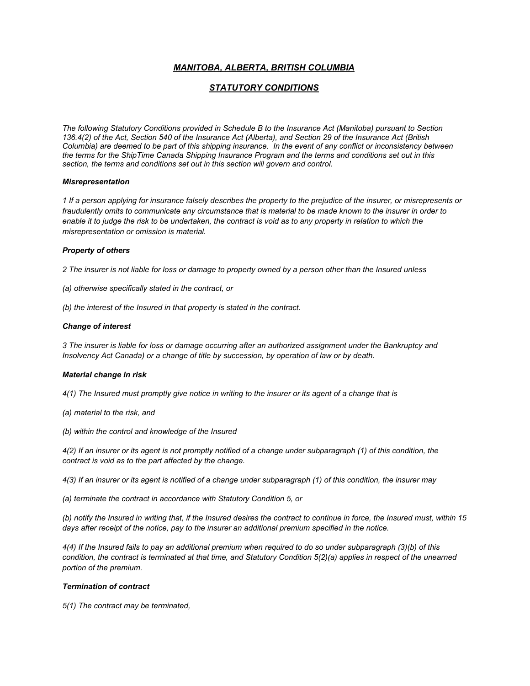# *MANITOBA, ALBERTA, BRITISH COLUMBIA*

# *STATUTORY CONDITIONS*

*The following Statutory Conditions provided in Schedule B to the Insurance Act (Manitoba) pursuant to Section 136.4(2) of the Act, Section 540 of the Insurance Act (Alberta), and Section 29 of the Insurance Act (British Columbia) are deemed to be part of this shipping insurance. In the event of any conflict or inconsistency between the terms for the ShipTime Canada Shipping Insurance Program and the terms and conditions set out in this section, the terms and conditions set out in this section will govern and control.* 

## *Misrepresentation*

*1 If a person applying for insurance falsely describes the property to the prejudice of the insurer, or misrepresents or fraudulently omits to communicate any circumstance that is material to be made known to the insurer in order to enable it to judge the risk to be undertaken, the contract is void as to any property in relation to which the misrepresentation or omission is material.* 

## *Property of others*

*2 The insurer is not liable for loss or damage to property owned by a person other than the Insured unless* 

*(a) otherwise specifically stated in the contract, or*

*(b) the interest of the Insured in that property is stated in the contract.*

## *Change of interest*

*3 The insurer is liable for loss or damage occurring after an authorized assignment under the Bankruptcy and Insolvency Act Canada) or a change of title by succession, by operation of law or by death.*

## *Material change in risk*

*4(1) The Insured must promptly give notice in writing to the insurer or its agent of a change that is* 

- *(a) material to the risk, and*
- *(b) within the control and knowledge of the Insured*

*4(2) If an insurer or its agent is not promptly notified of a change under subparagraph (1) of this condition, the contract is void as to the part affected by the change.*

*4(3) If an insurer or its agent is notified of a change under subparagraph (1) of this condition, the insurer may* 

*(a) terminate the contract in accordance with Statutory Condition 5, or* 

*(b) notify the Insured in writing that, if the Insured desires the contract to continue in force, the Insured must, within 15 days after receipt of the notice, pay to the insurer an additional premium specified in the notice.* 

*4(4) If the Insured fails to pay an additional premium when required to do so under subparagraph (3)(b) of this condition, the contract is terminated at that time, and Statutory Condition 5(2)(a) applies in respect of the unearned portion of the premium.* 

## *Termination of contract*

*5(1) The contract may be terminated,*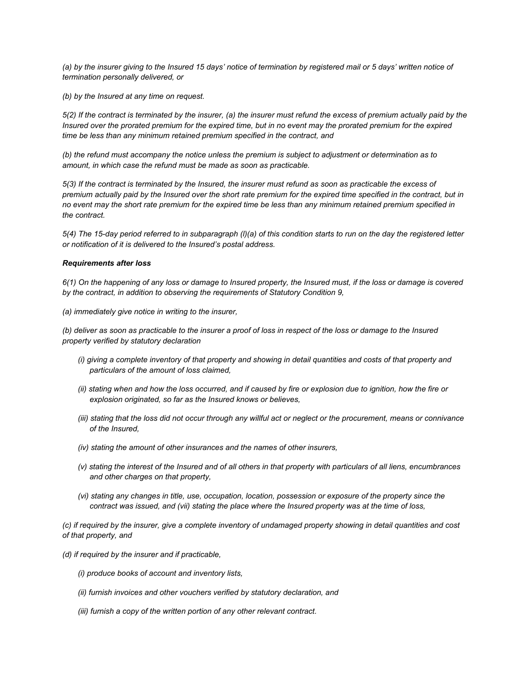*(a) by the insurer giving to the Insured 15 days' notice of termination by registered mail or 5 days' written notice of termination personally delivered, or* 

*(b) by the Insured at any time on request.*

*5(2) If the contract is terminated by the insurer, (a) the insurer must refund the excess of premium actually paid by the Insured over the prorated premium for the expired time, but in no event may the prorated premium for the expired time be less than any minimum retained premium specified in the contract, and* 

*(b) the refund must accompany the notice unless the premium is subject to adjustment or determination as to amount, in which case the refund must be made as soon as practicable.* 

*5(3) If the contract is terminated by the Insured, the insurer must refund as soon as practicable the excess of premium actually paid by the Insured over the short rate premium for the expired time specified in the contract, but in no event may the short rate premium for the expired time be less than any minimum retained premium specified in the contract.* 

*5(4) The 15-day period referred to in subparagraph (l)(a) of this condition starts to run on the day the registered letter or notification of it is delivered to the Insured's postal address.*

#### *Requirements after loss*

*6(1) On the happening of any loss or damage to Insured property, the Insured must, if the loss or damage is covered by the contract, in addition to observing the requirements of Statutory Condition 9,* 

*(a) immediately give notice in writing to the insurer,* 

*(b) deliver as soon as practicable to the insurer a proof of loss in respect of the loss or damage to the Insured property verified by statutory declaration* 

- *(i) giving a complete inventory of that property and showing in detail quantities and costs of that property and particulars of the amount of loss claimed,*
- *(ii) stating when and how the loss occurred, and if caused by fire or explosion due to ignition, how the fire or explosion originated, so far as the Insured knows or believes,*
- *(iii) stating that the loss did not occur through any willful act or neglect or the procurement, means or connivance of the Insured,*
- *(iv) stating the amount of other insurances and the names of other insurers,*
- *(v) stating the interest of the Insured and of all others in that property with particulars of all liens, encumbrances and other charges on that property,*
- *(vi)* stating any changes in title, use, occupation, location, possession or exposure of the property since the *contract was issued, and (vii) stating the place where the Insured property was at the time of loss,*

*(c) if required by the insurer, give a complete inventory of undamaged property showing in detail quantities and cost of that property, and* 

- *(d) if required by the insurer and if practicable,*
	- *(i) produce books of account and inventory lists,*
	- *(ii) furnish invoices and other vouchers verified by statutory declaration, and*
	- *(iii) furnish a copy of the written portion of any other relevant contract.*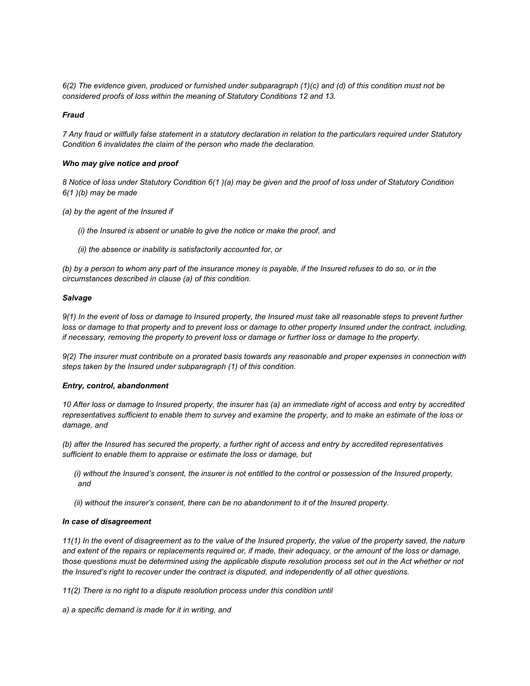*6(2) The evidence given, produced or furnished under subparagraph (1)(c) and (d) of this condition must not be considered proofs of loss within the meaning of Statutory Conditions 12 and 13.*

#### *Fraud*

*7 Any fraud or willfully false statement in a statutory declaration in relation to the particulars required under Statutory Condition 6 invalidates the claim of the person who made the declaration.*

#### *Who may give notice and proof*

*8 Notice of loss under Statutory Condition 6(1 )(a) may be given and the proof of loss under of Statutory Condition 6(1 )(b) may be made* 

*(a) by the agent of the Insured if* 

*(i) the Insured is absent or unable to give the notice or make the proof, and* 

*(ii) the absence or inability is satisfactorily accounted for, or*

*(b) by a person to whom any part of the insurance money is payable, if the Insured refuses to do so, or in the circumstances described in clause (a) of this condition.* 

#### *Salvage*

*9(1) In the event of loss or damage to Insured property, the Insured must take all reasonable steps to prevent further loss or damage to that property and to prevent loss or damage to other property Insured under the contract, including, if necessary, removing the property to prevent loss or damage or further loss or damage to the property.*

*9(2) The insurer must contribute on a prorated basis towards any reasonable and proper expenses in connection with steps taken by the Insured under subparagraph (1) of this condition.*

#### *Entry, control, abandonment*

*10 After loss or damage to Insured property, the insurer has (a) an immediate right of access and entry by accredited representatives sufficient to enable them to survey and examine the property, and to make an estimate of the loss or damage, and* 

*(b) after the Insured has secured the property, a further right of access and entry by accredited representatives sufficient to enable them to appraise or estimate the loss or damage, but* 

*(i) without the Insured's consent, the insurer is not entitled to the control or possession of the Insured property, and* 

*(ii) without the insurer's consent, there can be no abandonment to it of the Insured property.*

#### *In case of disagreement*

*11(1) In the event of disagreement as to the value of the Insured property, the value of the property saved, the nature and extent of the repairs or replacements required or, if made, their adequacy, or the amount of the loss or damage, those questions must be determined using the applicable dispute resolution process set out in the Act whether or not the Insured's right to recover under the contract is disputed, and independently of all other questions.* 

*11(2) There is no right to a dispute resolution process under this condition until* 

*a) a specific demand is made for it in writing, and*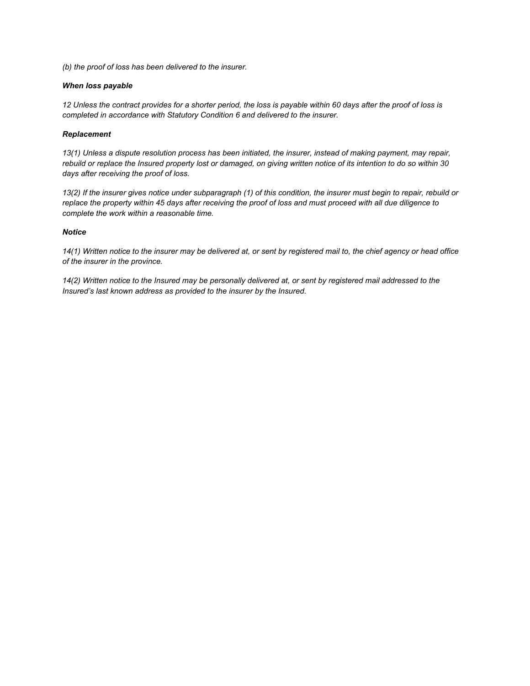*(b) the proof of loss has been delivered to the insurer.*

## *When loss payable*

*12 Unless the contract provides for a shorter period, the loss is payable within 60 days after the proof of loss is completed in accordance with Statutory Condition 6 and delivered to the insurer.*

#### *Replacement*

*13(1) Unless a dispute resolution process has been initiated, the insurer, instead of making payment, may repair, rebuild or replace the Insured property lost or damaged, on giving written notice of its intention to do so within 30 days after receiving the proof of loss.*

*13(2) If the insurer gives notice under subparagraph (1) of this condition, the insurer must begin to repair, rebuild or replace the property within 45 days after receiving the proof of loss and must proceed with all due diligence to complete the work within a reasonable time.*

#### *Notice*

*14(1) Written notice to the insurer may be delivered at, or sent by registered mail to, the chief agency or head office of the insurer in the province.*

*14(2) Written notice to the Insured may be personally delivered at, or sent by registered mail addressed to the Insured's last known address as provided to the insurer by the Insured.*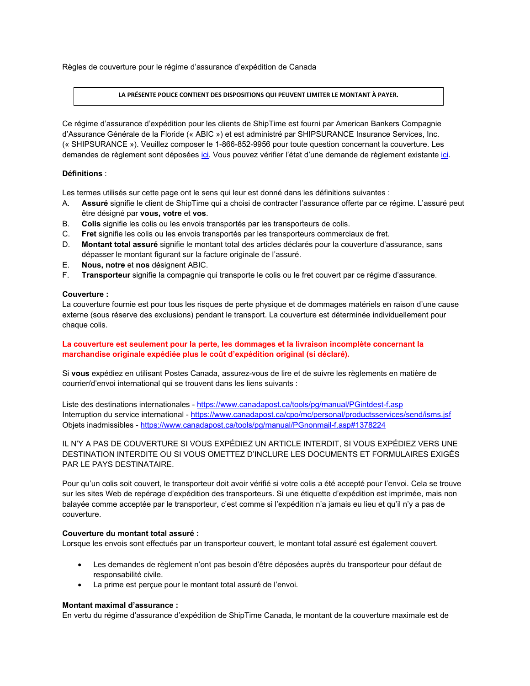Règles de couverture pour le régime d'assurance d'expédition de Canada

#### **LA PRÉSENTE POLICE CONTIENT DES DISPOSITIONS QUI PEUVENT LIMITER LE MONTANT À PAYER.**

Ce régime d'assurance d'expédition pour les clients de ShipTime est fourni par American Bankers Compagnie d'Assurance Générale de la Floride (« ABIC ») et est administré par SHIPSURANCE Insurance Services, Inc. (« SHIPSURANCE »). Veuillez composer le 1-866-852-9956 pour toute question concernant la couverture. Les demandes de règlement sont déposées [ici.](https://www.dsiins.com/extclaims/?cid=shiptimeca) Vous pouvez vérifier l'état d'une demande de règlement existante [ici.](https://www.dsiins.com/claimstatus/?cid=shiptimeca) 

## **Définitions** :

Les termes utilisés sur cette page ont le sens qui leur est donné dans les définitions suivantes :

- A. **Assuré** signifie le client de ShipTime qui a choisi de contracter l'assurance offerte par ce régime. L'assuré peut être désigné par **vous, votre** et **vos**.
- B. **Colis** signifie les colis ou les envois transportés par les transporteurs de colis.
- C. **Fret** signifie les colis ou les envois transportés par les transporteurs commerciaux de fret.
- D. **Montant total assuré** signifie le montant total des articles déclarés pour la couverture d'assurance, sans dépasser le montant figurant sur la facture originale de l'assuré.
- E. **Nous, notre** et **nos** désignent ABIC.
- F. **Transporteur** signifie la compagnie qui transporte le colis ou le fret couvert par ce régime d'assurance.

## **Couverture :**

La couverture fournie est pour tous les risques de perte physique et de dommages matériels en raison d'une cause externe (sous réserve des exclusions) pendant le transport. La couverture est déterminée individuellement pour chaque colis.

## **La couverture est seulement pour la perte, les dommages et la livraison incomplète concernant la marchandise originale expédiée plus le coût d'expédition original (si déclaré).**

Si **vous** expédiez en utilisant Postes Canada, assurez-vous de lire et de suivre les règlements en matière de courrier/d'envoi international qui se trouvent dans les liens suivants :

Liste des destinations internationales - <https://www.canadapost.ca/tools/pg/manual/PGintdest-f.asp> Interruption du service international - <https://www.canadapost.ca/cpo/mc/personal/productsservices/send/isms.jsf> Objets inadmissibles - <https://www.canadapost.ca/tools/pg/manual/PGnonmail-f.asp#1378224>

IL N'Y A PAS DE COUVERTURE SI VOUS EXPÉDIEZ UN ARTICLE INTERDIT, SI VOUS EXPÉDIEZ VERS UNE DESTINATION INTERDITE OU SI VOUS OMETTEZ D'INCLURE LES DOCUMENTS ET FORMULAIRES EXIGÉS PAR LE PAYS DESTINATAIRE.

Pour qu'un colis soit couvert, le transporteur doit avoir vérifié si votre colis a été accepté pour l'envoi. Cela se trouve sur les sites Web de repérage d'expédition des transporteurs. Si une étiquette d'expédition est imprimée, mais non balayée comme acceptée par le transporteur, c'est comme si l'expédition n'a jamais eu lieu et qu'il n'y a pas de couverture.

## **Couverture du montant total assuré :**

Lorsque les envois sont effectués par un transporteur couvert, le montant total assuré est également couvert.

- Les demandes de règlement n'ont pas besoin d'être déposées auprès du transporteur pour défaut de responsabilité civile.
- La prime est perçue pour le montant total assuré de l'envoi.

## **Montant maximal d'assurance :**

En vertu du régime d'assurance d'expédition de ShipTime Canada, le montant de la couverture maximale est de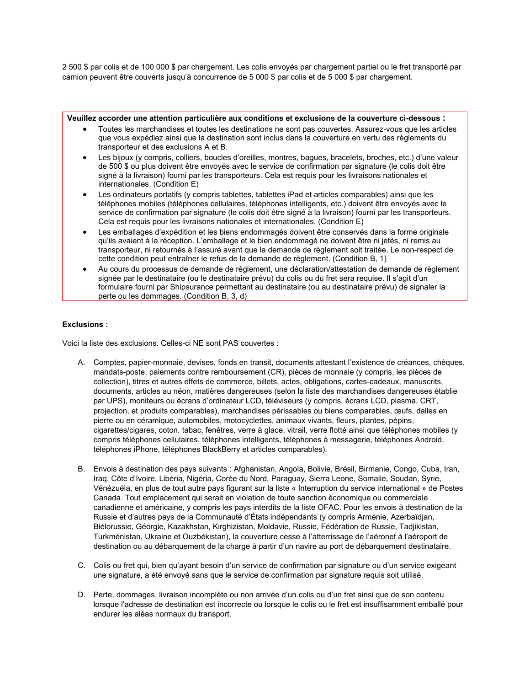2 500 \$ par colis et de 100 000 \$ par chargement. Les colis envoyés par chargement partiel ou le fret transporté par camion peuvent être couverts jusqu'à concurrence de 5 000 \$ par colis et de 5 000 \$ par chargement.

## **Veuillez accorder une attention particulière aux conditions et exclusions de la couverture ci-dessous :** • Toutes les marchandises et toutes les destinations ne sont pas couvertes. Assurez-vous que les articles que vous expédiez ainsi que la destination sont inclus dans la couverture en vertu des règlements du transporteur et des exclusions A et B. • Les bijoux (y compris, colliers, boucles d'oreilles, montres, bagues, bracelets, broches, etc.) d'une valeur de 500 \$ ou plus doivent être envoyés avec le service de confirmation par signature (le colis doit être signé à la livraison) fourni par les transporteurs. Cela est requis pour les livraisons nationales et internationales. (Condition E) Les ordinateurs portatifs (y compris tablettes, tablettes iPad et articles comparables) ainsi que les téléphones mobiles (téléphones cellulaires, téléphones intelligents, etc.) doivent être envoyés avec le service de confirmation par signature (le colis doit être signé à la livraison) fourni par les transporteurs. Cela est requis pour les livraisons nationales et internationales. (Condition E) Les emballages d'expédition et les biens endommagés doivent être conservés dans la forme originale qu'ils avaient à la réception. L'emballage et le bien endommagé ne doivent être ni jetés, ni remis au

- transporteur, ni retournés à l'assuré avant que la demande de règlement soit traitée. Le non-respect de cette condition peut entraîner le refus de la demande de règlement. (Condition B, 1) • Au cours du processus de demande de règlement, une déclaration/attestation de demande de règlement
- signée par le destinataire (ou le destinataire prévu) du colis ou du fret sera requise. Il s'agit d'un formulaire fourni par Shipsurance permettant au destinataire (ou au destinataire prévu) de signaler la perte ou les dommages. (Condition B, 3, d)

# **Exclusions :**

Voici la liste des exclusions. Celles-ci NE sont PAS couvertes :

- A. Comptes, papier-monnaie, devises, fonds en transit, documents attestant l'existence de créances, chèques, mandats-poste, paiements contre remboursement (CR), pièces de monnaie (y compris, les pièces de collection), titres et autres effets de commerce, billets, actes, obligations, cartes-cadeaux, manuscrits, documents, articles au néon, matières dangereuses (selon la liste des marchandises dangereuses établie par UPS), moniteurs ou écrans d'ordinateur LCD, téléviseurs (y compris, écrans LCD, plasma, CRT, projection, et produits comparables), marchandises périssables ou biens comparables, œufs, dalles en pierre ou en céramique, automobiles, motocyclettes, animaux vivants, fleurs, plantes, pépins, cigarettes/cigares, coton, tabac, fenêtres, verre à glace, vitrail, verre flotté ainsi que téléphones mobiles (y compris téléphones cellulaires, téléphones intelligents, téléphones à messagerie, téléphones Android, téléphones iPhone, téléphones BlackBerry et articles comparables).
- B. Envois à destination des pays suivants : Afghanistan, Angola, Bolivie, Brésil, Birmanie, Congo, Cuba, Iran, Iraq, Côte d'Ivoire, Libéria, Nigéria, Corée du Nord, Paraguay, Sierra Leone, Somalie, Soudan, Syrie, Vénézuéla, en plus de tout autre pays figurant sur la liste « Interruption du service international » de Postes Canada. Tout emplacement qui serait en violation de toute sanction économique ou commerciale canadienne et américaine, y compris les pays interdits de la liste OFAC. Pour les envois à destination de la Russie et d'autres pays de la Communauté d'États indépendants (y compris Arménie, Azerbaïdjan, Biélorussie, Géorgie, Kazakhstan, Kirghizistan, Moldavie, Russie, Fédération de Russie, Tadjikistan, Turkménistan, Ukraine et Ouzbékistan), la couverture cesse à l'atterrissage de l'aéronef à l'aéroport de destination ou au débarquement de la charge à partir d'un navire au port de débarquement destinataire.
- C. Colis ou fret qui, bien qu'ayant besoin d'un service de confirmation par signature ou d'un service exigeant une signature, a été envoyé sans que le service de confirmation par signature requis soit utilisé.
- D. Perte, dommages, livraison incomplète ou non arrivée d'un colis ou d'un fret ainsi que de son contenu lorsque l'adresse de destination est incorrecte ou lorsque le colis ou le fret est insuffisamment emballé pour endurer les aléas normaux du transport.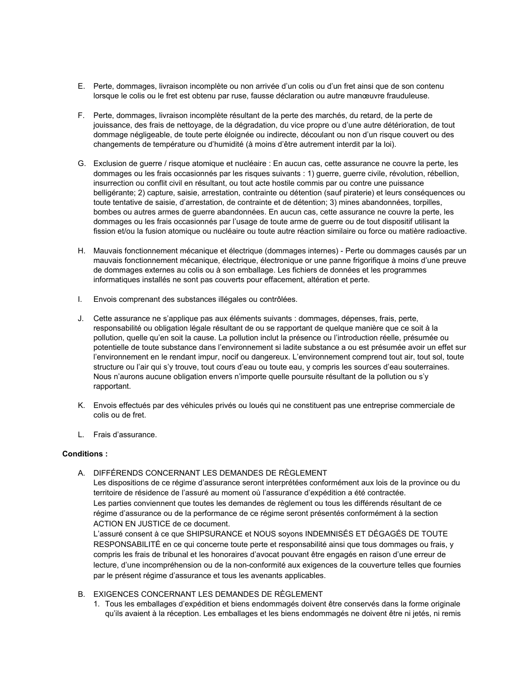- E. Perte, dommages, livraison incomplète ou non arrivée d'un colis ou d'un fret ainsi que de son contenu lorsque le colis ou le fret est obtenu par ruse, fausse déclaration ou autre manœuvre frauduleuse.
- F. Perte, dommages, livraison incomplète résultant de la perte des marchés, du retard, de la perte de jouissance, des frais de nettoyage, de la dégradation, du vice propre ou d'une autre détérioration, de tout dommage négligeable, de toute perte éloignée ou indirecte, découlant ou non d'un risque couvert ou des changements de température ou d'humidité (à moins d'être autrement interdit par la loi).
- G. Exclusion de guerre / risque atomique et nucléaire : En aucun cas, cette assurance ne couvre la perte, les dommages ou les frais occasionnés par les risques suivants : 1) guerre, guerre civile, révolution, rébellion, insurrection ou conflit civil en résultant, ou tout acte hostile commis par ou contre une puissance belligérante; 2) capture, saisie, arrestation, contrainte ou détention (sauf piraterie) et leurs conséquences ou toute tentative de saisie, d'arrestation, de contrainte et de détention; 3) mines abandonnées, torpilles, bombes ou autres armes de guerre abandonnées. En aucun cas, cette assurance ne couvre la perte, les dommages ou les frais occasionnés par l'usage de toute arme de guerre ou de tout dispositif utilisant la fission et/ou la fusion atomique ou nucléaire ou toute autre réaction similaire ou force ou matière radioactive.
- H. Mauvais fonctionnement mécanique et électrique (dommages internes) Perte ou dommages causés par un mauvais fonctionnement mécanique, électrique, électronique or une panne frigorifique à moins d'une preuve de dommages externes au colis ou à son emballage. Les fichiers de données et les programmes informatiques installés ne sont pas couverts pour effacement, altération et perte.
- I. Envois comprenant des substances illégales ou contrôlées.
- J. Cette assurance ne s'applique pas aux éléments suivants : dommages, dépenses, frais, perte, responsabilité ou obligation légale résultant de ou se rapportant de quelque manière que ce soit à la pollution, quelle qu'en soit la cause. La pollution inclut la présence ou l'introduction réelle, présumée ou potentielle de toute substance dans l'environnement si ladite substance a ou est présumée avoir un effet sur l'environnement en le rendant impur, nocif ou dangereux. L'environnement comprend tout air, tout sol, toute structure ou l'air qui s'y trouve, tout cours d'eau ou toute eau, y compris les sources d'eau souterraines. Nous n'aurons aucune obligation envers n'importe quelle poursuite résultant de la pollution ou s'y rapportant.
- K. Envois effectués par des véhicules privés ou loués qui ne constituent pas une entreprise commerciale de colis ou de fret.
- L. Frais d'assurance.

## **Conditions :**

A. DIFFÉRENDS CONCERNANT LES DEMANDES DE RÈGLEMENT

Les dispositions de ce régime d'assurance seront interprétées conformément aux lois de la province ou du territoire de résidence de l'assuré au moment où l'assurance d'expédition a été contractée. Les parties conviennent que toutes les demandes de règlement ou tous les différends résultant de ce régime d'assurance ou de la performance de ce régime seront présentés conformément à la section ACTION EN JUSTICE de ce document.

L'assuré consent à ce que SHIPSURANCE et NOUS soyons INDEMNISÉS ET DÉGAGÉS DE TOUTE RESPONSABILITÉ en ce qui concerne toute perte et responsabilité ainsi que tous dommages ou frais, y compris les frais de tribunal et les honoraires d'avocat pouvant être engagés en raison d'une erreur de lecture, d'une incompréhension ou de la non-conformité aux exigences de la couverture telles que fournies par le présent régime d'assurance et tous les avenants applicables.

- B. EXIGENCES CONCERNANT LES DEMANDES DE RÈGLEMENT
	- 1. Tous les emballages d'expédition et biens endommagés doivent être conservés dans la forme originale qu'ils avaient à la réception. Les emballages et les biens endommagés ne doivent être ni jetés, ni remis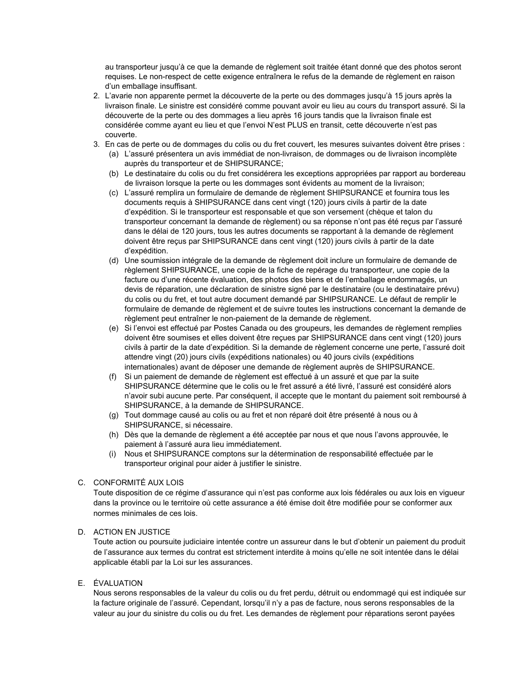au transporteur jusqu'à ce que la demande de règlement soit traitée étant donné que des photos seront requises. Le non-respect de cette exigence entraînera le refus de la demande de règlement en raison d'un emballage insuffisant.

- 2. L'avarie non apparente permet la découverte de la perte ou des dommages jusqu'à 15 jours après la livraison finale. Le sinistre est considéré comme pouvant avoir eu lieu au cours du transport assuré. Si la découverte de la perte ou des dommages a lieu après 16 jours tandis que la livraison finale est considérée comme ayant eu lieu et que l'envoi N'est PLUS en transit, cette découverte n'est pas couverte.
- 3. En cas de perte ou de dommages du colis ou du fret couvert, les mesures suivantes doivent être prises :
	- (a) L'assuré présentera un avis immédiat de non-livraison, de dommages ou de livraison incomplète auprès du transporteur et de SHIPSURANCE;
	- (b) Le destinataire du colis ou du fret considérera les exceptions appropriées par rapport au bordereau de livraison lorsque la perte ou les dommages sont évidents au moment de la livraison;
	- (c) L'assuré remplira un formulaire de demande de règlement SHIPSURANCE et fournira tous les documents requis à SHIPSURANCE dans cent vingt (120) jours civils à partir de la date d'expédition. Si le transporteur est responsable et que son versement (chèque et talon du transporteur concernant la demande de règlement) ou sa réponse n'ont pas été reçus par l'assuré dans le délai de 120 jours, tous les autres documents se rapportant à la demande de règlement doivent être reçus par SHIPSURANCE dans cent vingt (120) jours civils à partir de la date d'expédition.
	- (d) Une soumission intégrale de la demande de règlement doit inclure un formulaire de demande de règlement SHIPSURANCE, une copie de la fiche de repérage du transporteur, une copie de la facture ou d'une récente évaluation, des photos des biens et de l'emballage endommagés, un devis de réparation, une déclaration de sinistre signé par le destinataire (ou le destinataire prévu) du colis ou du fret, et tout autre document demandé par SHIPSURANCE. Le défaut de remplir le formulaire de demande de règlement et de suivre toutes les instructions concernant la demande de règlement peut entraîner le non-paiement de la demande de règlement.
	- (e) Si l'envoi est effectué par Postes Canada ou des groupeurs, les demandes de règlement remplies doivent être soumises et elles doivent être reçues par SHIPSURANCE dans cent vingt (120) jours civils à partir de la date d'expédition. Si la demande de règlement concerne une perte, l'assuré doit attendre vingt (20) jours civils (expéditions nationales) ou 40 jours civils (expéditions internationales) avant de déposer une demande de règlement auprès de SHIPSURANCE.
	- (f) Si un paiement de demande de règlement est effectué à un assuré et que par la suite SHIPSURANCE détermine que le colis ou le fret assuré a été livré, l'assuré est considéré alors n'avoir subi aucune perte. Par conséquent, il accepte que le montant du paiement soit remboursé à SHIPSURANCE, à la demande de SHIPSURANCE.
	- (g) Tout dommage causé au colis ou au fret et non réparé doit être présenté à nous ou à SHIPSURANCE, si nécessaire.
	- (h) Dès que la demande de règlement a été acceptée par nous et que nous l'avons approuvée, le paiement à l'assuré aura lieu immédiatement.
	- (i) Nous et SHIPSURANCE comptons sur la détermination de responsabilité effectuée par le transporteur original pour aider à justifier le sinistre.

# C. CONFORMITÉ AUX LOIS

Toute disposition de ce régime d'assurance qui n'est pas conforme aux lois fédérales ou aux lois en vigueur dans la province ou le territoire où cette assurance a été émise doit être modifiée pour se conformer aux normes minimales de ces lois.

## D. ACTION EN JUSTICE

Toute action ou poursuite judiciaire intentée contre un assureur dans le but d'obtenir un paiement du produit de l'assurance aux termes du contrat est strictement interdite à moins qu'elle ne soit intentée dans le délai applicable établi par la Loi sur les assurances.

## E. ÉVALUATION

Nous serons responsables de la valeur du colis ou du fret perdu, détruit ou endommagé qui est indiquée sur la facture originale de l'assuré. Cependant, lorsqu'il n'y a pas de facture, nous serons responsables de la valeur au jour du sinistre du colis ou du fret. Les demandes de règlement pour réparations seront payées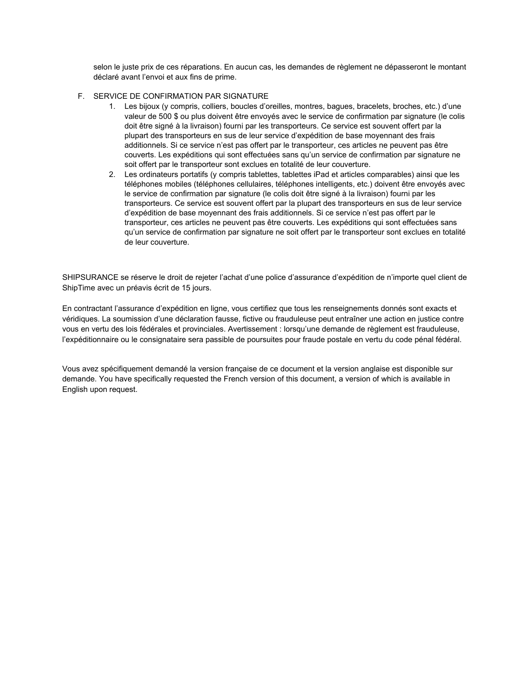selon le juste prix de ces réparations. En aucun cas, les demandes de règlement ne dépasseront le montant déclaré avant l'envoi et aux fins de prime.

# F. SERVICE DE CONFIRMATION PAR SIGNATURE

- 1. Les bijoux (y compris, colliers, boucles d'oreilles, montres, bagues, bracelets, broches, etc.) d'une valeur de 500 \$ ou plus doivent être envoyés avec le service de confirmation par signature (le colis doit être signé à la livraison) fourni par les transporteurs. Ce service est souvent offert par la plupart des transporteurs en sus de leur service d'expédition de base moyennant des frais additionnels. Si ce service n'est pas offert par le transporteur, ces articles ne peuvent pas être couverts. Les expéditions qui sont effectuées sans qu'un service de confirmation par signature ne soit offert par le transporteur sont exclues en totalité de leur couverture.
- 2. Les ordinateurs portatifs (y compris tablettes, tablettes iPad et articles comparables) ainsi que les téléphones mobiles (téléphones cellulaires, téléphones intelligents, etc.) doivent être envoyés avec le service de confirmation par signature (le colis doit être signé à la livraison) fourni par les transporteurs. Ce service est souvent offert par la plupart des transporteurs en sus de leur service d'expédition de base moyennant des frais additionnels. Si ce service n'est pas offert par le transporteur, ces articles ne peuvent pas être couverts. Les expéditions qui sont effectuées sans qu'un service de confirmation par signature ne soit offert par le transporteur sont exclues en totalité de leur couverture.

SHIPSURANCE se réserve le droit de rejeter l'achat d'une police d'assurance d'expédition de n'importe quel client de ShipTime avec un préavis écrit de 15 jours.

En contractant l'assurance d'expédition en ligne, vous certifiez que tous les renseignements donnés sont exacts et véridiques. La soumission d'une déclaration fausse, fictive ou frauduleuse peut entraîner une action en justice contre vous en vertu des lois fédérales et provinciales. Avertissement : lorsqu'une demande de règlement est frauduleuse, l'expéditionnaire ou le consignataire sera passible de poursuites pour fraude postale en vertu du code pénal fédéral.

Vous avez spécifiquement demandé la version française de ce document et la version anglaise est disponible sur demande. You have specifically requested the French version of this document, a version of which is available in English upon request.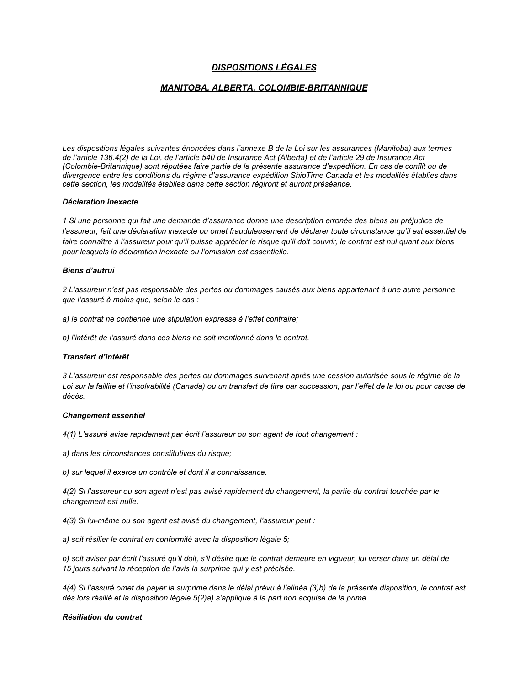# *DISPOSITIONS LÉGALES*

# *MANITOBA, ALBERTA, COLOMBIE-BRITANNIQUE*

*Les dispositions légales suivantes énoncées dans l'annexe B de la Loi sur les assurances (Manitoba) aux termes de l'article 136.4(2) de la Loi, de l'article 540 de Insurance Act (Alberta) et de l'article 29 de Insurance Act (Colombie-Britannique) sont réputées faire partie de la présente assurance d'expédition. En cas de conflit ou de divergence entre les conditions du régime d'assurance expédition ShipTime Canada et les modalités établies dans cette section, les modalités établies dans cette section régiront et auront préséance.*

#### *Déclaration inexacte*

*1 Si une personne qui fait une demande d'assurance donne une description erronée des biens au préjudice de*  l'assureur, fait une déclaration inexacte ou omet frauduleusement de déclarer toute circonstance qu'il est essentiel de *faire connaître à l'assureur pour qu'il puisse apprécier le risque qu'il doit couvrir, le contrat est nul quant aux biens pour lesquels la déclaration inexacte ou l'omission est essentielle.* 

## *Biens d'autrui*

*2 L'assureur n'est pas responsable des pertes ou dommages causés aux biens appartenant à une autre personne que l'assuré à moins que, selon le cas :* 

*a) le contrat ne contienne une stipulation expresse à l'effet contraire;* 

*b) l'intérêt de l'assuré dans ces biens ne soit mentionné dans le contrat.*

## *Transfert d'intérêt*

*3 L'assureur est responsable des pertes ou dommages survenant après une cession autorisée sous le régime de la Loi sur la faillite et l'insolvabilité (Canada) ou un transfert de titre par succession, par l'effet de la loi ou pour cause de décès.*

#### *Changement essentiel*

*4(1) L'assuré avise rapidement par écrit l'assureur ou son agent de tout changement :* 

*a) dans les circonstances constitutives du risque;* 

*b) sur lequel il exerce un contrôle et dont il a connaissance.*

*4(2) Si l'assureur ou son agent n'est pas avisé rapidement du changement, la partie du contrat touchée par le changement est nulle.*

*4(3) Si lui-même ou son agent est avisé du changement, l'assureur peut :* 

*a) soit résilier le contrat en conformité avec la disposition légale 5;* 

*b) soit aviser par écrit l'assuré qu'il doit, s'il désire que le contrat demeure en vigueur, lui verser dans un délai de 15 jours suivant la réception de l'avis la surprime qui y est précisée.* 

*4(4) Si l'assuré omet de payer la surprime dans le délai prévu à l'alinéa (3)b) de la présente disposition, le contrat est dès lors résilié et la disposition légale 5(2)a) s'applique à la part non acquise de la prime.*

## *Résiliation du contrat*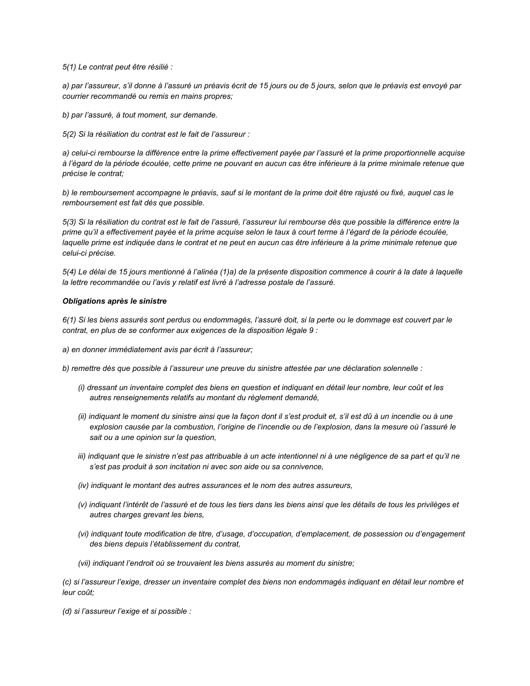*5(1) Le contrat peut être résilié :* 

*a) par l'assureur, s'il donne à l'assuré un préavis écrit de 15 jours ou de 5 jours, selon que le préavis est envoyé par courrier recommandé ou remis en mains propres;*

*b) par l'assuré, à tout moment, sur demande.*

*5(2) Si la résiliation du contrat est le fait de l'assureur :* 

*a) celui-ci rembourse la différence entre la prime effectivement payée par l'assuré et la prime proportionnelle acquise à l'égard de la période écoulée, cette prime ne pouvant en aucun cas être inférieure à la prime minimale retenue que précise le contrat;* 

*b) le remboursement accompagne le préavis, sauf si le montant de la prime doit être rajusté ou fixé, auquel cas le remboursement est fait dès que possible.*

*5(3) Si la résiliation du contrat est le fait de l'assuré, l'assureur lui rembourse dès que possible la différence entre la prime qu'il a effectivement payée et la prime acquise selon le taux à court terme à l'égard de la période écoulée,*  laquelle prime est indiquée dans le contrat et ne peut en aucun cas être inférieure à la prime minimale retenue que *celui-ci précise.*

*5(4) Le délai de 15 jours mentionné à l'alinéa (1)a) de la présente disposition commence à courir à la date à laquelle la lettre recommandée ou l'avis y relatif est livré à l'adresse postale de l'assuré.*

#### *Obligations après le sinistre*

*6(1) Si les biens assurés sont perdus ou endommagés, l'assuré doit, si la perte ou le dommage est couvert par le contrat, en plus de se conformer aux exigences de la disposition légale 9 :* 

*a) en donner immédiatement avis par écrit à l'assureur;* 

*b) remettre dès que possible à l'assureur une preuve du sinistre attestée par une déclaration solennelle :*

- *(i) dressant un inventaire complet des biens en question et indiquant en détail leur nombre, leur coût et les autres renseignements relatifs au montant du règlement demandé,*
- *(ii) indiquant le moment du sinistre ainsi que la façon dont il s'est produit et, s'il est dû à un incendie ou à une explosion causée par la combustion, l'origine de l'incendie ou de l'explosion, dans la mesure où l'assuré le sait ou a une opinion sur la question,*
- *iii) indiquant que le sinistre n'est pas attribuable à un acte intentionnel ni à une négligence de sa part et qu'il ne s'est pas produit à son incitation ni avec son aide ou sa connivence,*
- *(iv) indiquant le montant des autres assurances et le nom des autres assureurs,*
- *(v) indiquant l'intérêt de l'assuré et de tous les tiers dans les biens ainsi que les détails de tous les privilèges et autres charges grevant les biens,*
- *(vi) indiquant toute modification de titre, d'usage, d'occupation, d'emplacement, de possession ou d'engagement des biens depuis l'établissement du contrat,*
- *(vii) indiquant l'endroit où se trouvaient les biens assurés au moment du sinistre;*

*(c) si l'assureur l'exige, dresser un inventaire complet des biens non endommagés indiquant en détail leur nombre et leur coût;*

*(d) si l'assureur l'exige et si possible :*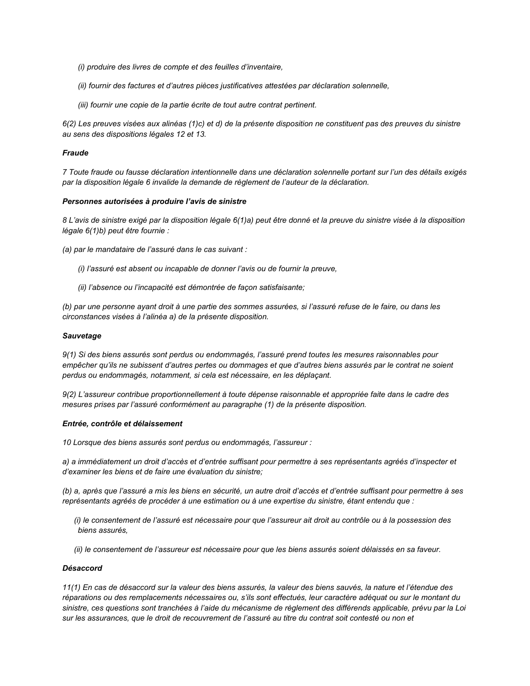- *(i) produire des livres de compte et des feuilles d'inventaire,*
- *(ii) fournir des factures et d'autres pièces justificatives attestées par déclaration solennelle,*
- *(iii) fournir une copie de la partie écrite de tout autre contrat pertinent.*

*6(2) Les preuves visées aux alinéas (1)c) et d) de la présente disposition ne constituent pas des preuves du sinistre au sens des dispositions légales 12 et 13.*

#### *Fraude*

*7 Toute fraude ou fausse déclaration intentionnelle dans une déclaration solennelle portant sur l'un des détails exigés par la disposition légale 6 invalide la demande de règlement de l'auteur de la déclaration.*

#### *Personnes autorisées à produire l'avis de sinistre*

*8 L'avis de sinistre exigé par la disposition légale 6(1)a) peut être donné et la preuve du sinistre visée à la disposition légale 6(1)b) peut être fournie :*

- *(a) par le mandataire de l'assuré dans le cas suivant :*
	- *(i) l'assuré est absent ou incapable de donner l'avis ou de fournir la preuve,*
	- *(ii) l'absence ou l'incapacité est démontrée de façon satisfaisante;*

*(b) par une personne ayant droit à une partie des sommes assurées, si l'assuré refuse de le faire, ou dans les circonstances visées à l'alinéa a) de la présente disposition.* 

#### *Sauvetage*

*9(1) Si des biens assurés sont perdus ou endommagés, l'assuré prend toutes les mesures raisonnables pour empêcher qu'ils ne subissent d'autres pertes ou dommages et que d'autres biens assurés par le contrat ne soient perdus ou endommagés, notamment, si cela est nécessaire, en les déplaçant.*

*9(2) L'assureur contribue proportionnellement à toute dépense raisonnable et appropriée faite dans le cadre des mesures prises par l'assuré conformément au paragraphe (1) de la présente disposition.*

#### *Entrée, contrôle et délaissement*

*10 Lorsque des biens assurés sont perdus ou endommagés, l'assureur :* 

*a) a immédiatement un droit d'accès et d'entrée suffisant pour permettre à ses représentants agréés d'inspecter et d'examiner les biens et de faire une évaluation du sinistre;* 

*(b) a, après que l'assuré a mis les biens en sécurité, un autre droit d'accès et d'entrée suffisant pour permettre à ses représentants agréés de procéder à une estimation ou à une expertise du sinistre, étant entendu que :*

- *(i) le consentement de l'assuré est nécessaire pour que l'assureur ait droit au contrôle ou à la possession des biens assurés,*
- *(ii) le consentement de l'assureur est nécessaire pour que les biens assurés soient délaissés en sa faveur.*

#### *Désaccord*

*11(1) En cas de désaccord sur la valeur des biens assurés, la valeur des biens sauvés, la nature et l'étendue des réparations ou des remplacements nécessaires ou, s'ils sont effectués, leur caractère adéquat ou sur le montant du sinistre, ces questions sont tranchées à l'aide du mécanisme de règlement des différends applicable, prévu par la Loi sur les assurances, que le droit de recouvrement de l'assuré au titre du contrat soit contesté ou non et*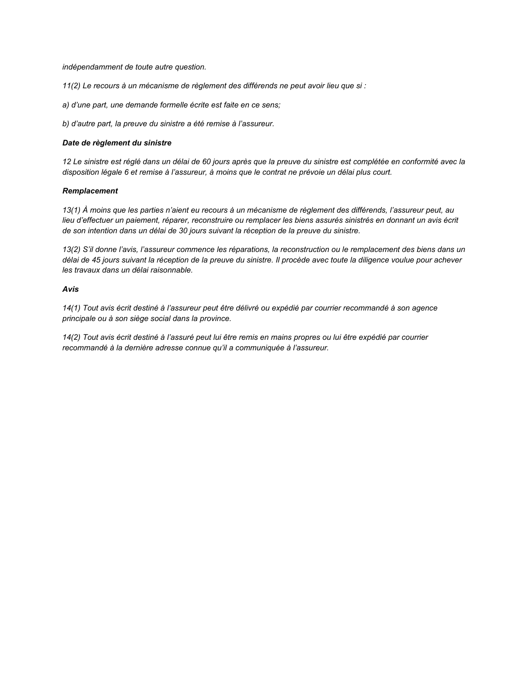*indépendamment de toute autre question.* 

*11(2) Le recours à un mécanisme de règlement des différends ne peut avoir lieu que si :* 

*a) d'une part, une demande formelle écrite est faite en ce sens;* 

*b) d'autre part, la preuve du sinistre a été remise à l'assureur.*

#### *Date de règlement du sinistre*

*12 Le sinistre est réglé dans un délai de 60 jours après que la preuve du sinistre est complétée en conformité avec la disposition légale 6 et remise à l'assureur, à moins que le contrat ne prévoie un délai plus court.*

## *Remplacement*

*13(1) À moins que les parties n'aient eu recours à un mécanisme de règlement des différends, l'assureur peut, au lieu d'effectuer un paiement, réparer, reconstruire ou remplacer les biens assurés sinistrés en donnant un avis écrit de son intention dans un délai de 30 jours suivant la réception de la preuve du sinistre.*

*13(2) S'il donne l'avis, l'assureur commence les réparations, la reconstruction ou le remplacement des biens dans un délai de 45 jours suivant la réception de la preuve du sinistre. Il procède avec toute la diligence voulue pour achever les travaux dans un délai raisonnable.*

#### *Avis*

*14(1) Tout avis écrit destiné à l'assureur peut être délivré ou expédié par courrier recommandé à son agence principale ou à son siège social dans la province.*

*14(2) Tout avis écrit destiné à l'assuré peut lui être remis en mains propres ou lui être expédié par courrier recommandé à la dernière adresse connue qu'il a communiquée à l'assureur.*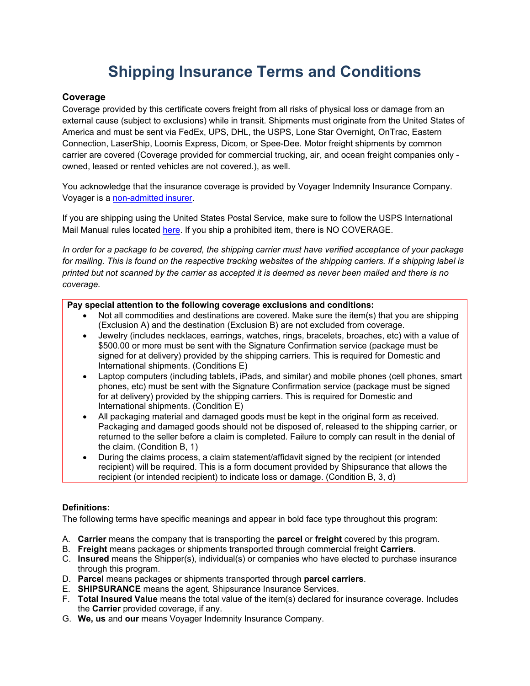# **Shipping Insurance Terms and Conditions**

# **Coverage**

Coverage provided by this certificate covers freight from all risks of physical loss or damage from an external cause (subject to exclusions) while in transit. Shipments must originate from the United States of America and must be sent via FedEx, UPS, DHL, the USPS, Lone Star Overnight, OnTrac, Eastern Connection, LaserShip, Loomis Express, Dicom, or Spee-Dee. Motor freight shipments by common carrier are covered (Coverage provided for commercial trucking, air, and ocean freight companies only owned, leased or rented vehicles are not covered.), as well.

You acknowledge that the insurance coverage is provided by Voyager Indemnity Insurance Company. Voyager is a [non-admitted insurer.](https://www.shipsurance.com/assets/docs/nonadmitted.pdf)

If you are shipping using the United States Postal Service, make sure to follow the USPS International Mail Manual rules located [here.](http://pe.usps.com/text/imm/welcome.htm) If you ship a prohibited item, there is NO COVERAGE.

*In order for a package to be covered, the shipping carrier must have verified acceptance of your package for mailing. This is found on the respective tracking websites of the shipping carriers. If a shipping label is printed but not scanned by the carrier as accepted it is deemed as never been mailed and there is no coverage.*

# **Pay special attention to the following coverage exclusions and conditions:**

- Not all commodities and destinations are covered. Make sure the item(s) that you are shipping (Exclusion A) and the destination (Exclusion B) are not excluded from coverage.
- Jewelry (includes necklaces, earrings, watches, rings, bracelets, broaches, etc) with a value of \$500.00 or more must be sent with the Signature Confirmation service (package must be signed for at delivery) provided by the shipping carriers. This is required for Domestic and International shipments. (Conditions E)
- Laptop computers (including tablets, iPads, and similar) and mobile phones (cell phones, smart phones, etc) must be sent with the Signature Confirmation service (package must be signed for at delivery) provided by the shipping carriers. This is required for Domestic and International shipments. (Condition E)
- All packaging material and damaged goods must be kept in the original form as received. Packaging and damaged goods should not be disposed of, released to the shipping carrier, or returned to the seller before a claim is completed. Failure to comply can result in the denial of the claim. (Condition B, 1)
- During the claims process, a claim statement/affidavit signed by the recipient (or intended recipient) will be required. This is a form document provided by Shipsurance that allows the recipient (or intended recipient) to indicate loss or damage. (Condition B, 3, d)

# **Definitions:**

The following terms have specific meanings and appear in bold face type throughout this program:

- A. **Carrier** means the company that is transporting the **parcel** or **freight** covered by this program.
- B. **Freight** means packages or shipments transported through commercial freight **Carriers**.
- C. **Insured** means the Shipper(s), individual(s) or companies who have elected to purchase insurance through this program.
- D. **Parcel** means packages or shipments transported through **parcel carriers**.
- E. **SHIPSURANCE** means the agent, Shipsurance Insurance Services.
- F. **Total Insured Value** means the total value of the item(s) declared for insurance coverage. Includes the **Carrier** provided coverage, if any.
- G. **We, us** and **our** means Voyager Indemnity Insurance Company.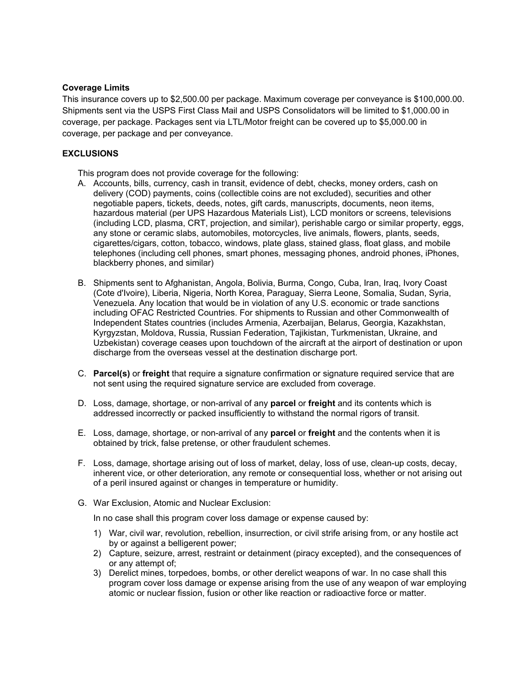# **Coverage Limits**

This insurance covers up to \$2,500.00 per package. Maximum coverage per conveyance is \$100,000.00. Shipments sent via the USPS First Class Mail and USPS Consolidators will be limited to \$1,000.00 in coverage, per package. Packages sent via LTL/Motor freight can be covered up to \$5,000.00 in coverage, per package and per conveyance.

## **EXCLUSIONS**

This program does not provide coverage for the following:

- A. Accounts, bills, currency, cash in transit, evidence of debt, checks, money orders, cash on delivery (COD) payments, coins (collectible coins are not excluded), securities and other negotiable papers, tickets, deeds, notes, gift cards, manuscripts, documents, neon items, hazardous material (per UPS Hazardous Materials List), LCD monitors or screens, televisions (including LCD, plasma, CRT, projection, and similar), perishable cargo or similar property, eggs, any stone or ceramic slabs, automobiles, motorcycles, live animals, flowers, plants, seeds, cigarettes/cigars, cotton, tobacco, windows, plate glass, stained glass, float glass, and mobile telephones (including cell phones, smart phones, messaging phones, android phones, iPhones, blackberry phones, and similar)
- B. Shipments sent to Afghanistan, Angola, Bolivia, Burma, Congo, Cuba, Iran, Iraq, Ivory Coast (Cote d'Ivoire), Liberia, Nigeria, North Korea, Paraguay, Sierra Leone, Somalia, Sudan, Syria, Venezuela. Any location that would be in violation of any U.S. economic or trade sanctions including OFAC Restricted Countries. For shipments to Russian and other Commonwealth of Independent States countries (includes Armenia, Azerbaijan, Belarus, Georgia, Kazakhstan, Kyrgyzstan, Moldova, Russia, Russian Federation, Tajikistan, Turkmenistan, Ukraine, and Uzbekistan) coverage ceases upon touchdown of the aircraft at the airport of destination or upon discharge from the overseas vessel at the destination discharge port.
- C. **Parcel(s)** or **freight** that require a signature confirmation or signature required service that are not sent using the required signature service are excluded from coverage.
- D. Loss, damage, shortage, or non-arrival of any **parcel** or **freight** and its contents which is addressed incorrectly or packed insufficiently to withstand the normal rigors of transit.
- E. Loss, damage, shortage, or non-arrival of any **parcel** or **freight** and the contents when it is obtained by trick, false pretense, or other fraudulent schemes.
- F. Loss, damage, shortage arising out of loss of market, delay, loss of use, clean-up costs, decay, inherent vice, or other deterioration, any remote or consequential loss, whether or not arising out of a peril insured against or changes in temperature or humidity.
- G. War Exclusion, Atomic and Nuclear Exclusion:

In no case shall this program cover loss damage or expense caused by:

- 1) War, civil war, revolution, rebellion, insurrection, or civil strife arising from, or any hostile act by or against a belligerent power;
- 2) Capture, seizure, arrest, restraint or detainment (piracy excepted), and the consequences of or any attempt of;
- 3) Derelict mines, torpedoes, bombs, or other derelict weapons of war. In no case shall this program cover loss damage or expense arising from the use of any weapon of war employing atomic or nuclear fission, fusion or other like reaction or radioactive force or matter.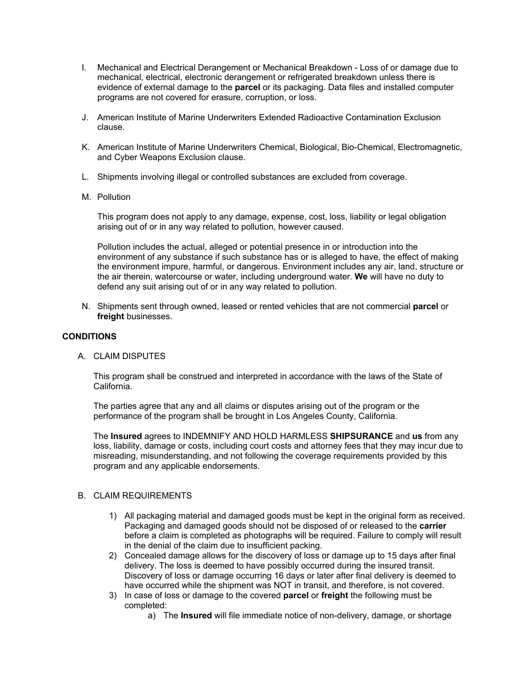- I. Mechanical and Electrical Derangement or Mechanical Breakdown Loss of or damage due to mechanical, electrical, electronic derangement or refrigerated breakdown unless there is evidence of external damage to the **parcel** or its packaging. Data files and installed computer programs are not covered for erasure, corruption, or loss.
- J. American Institute of Marine Underwriters Extended Radioactive Contamination Exclusion clause.
- K. American Institute of Marine Underwriters Chemical, Biological, Bio-Chemical, Electromagnetic, and Cyber Weapons Exclusion clause.
- L. Shipments involving illegal or controlled substances are excluded from coverage.
- M. Pollution

This program does not apply to any damage, expense, cost, loss, liability or legal obligation arising out of or in any way related to pollution, however caused.

Pollution includes the actual, alleged or potential presence in or introduction into the environment of any substance if such substance has or is alleged to have, the effect of making the environment impure, harmful, or dangerous. Environment includes any air, land, structure or the air therein, watercourse or water, including underground water. **We** will have no duty to defend any suit arising out of or in any way related to pollution.

N. Shipments sent through owned, leased or rented vehicles that are not commercial **parcel** or **freight** businesses.

# **CONDITIONS**

A. CLAIM DISPUTES

This program shall be construed and interpreted in accordance with the laws of the State of California.

The parties agree that any and all claims or disputes arising out of the program or the performance of the program shall be brought in Los Angeles County, California.

The **Insured** agrees to INDEMNIFY AND HOLD HARMLESS **SHIPSURANCE** and **us** from any loss, liability, damage or costs, including court costs and attorney fees that they may incur due to misreading, misunderstanding, and not following the coverage requirements provided by this program and any applicable endorsements.

# B. CLAIM REQUIREMENTS

- 1) All packaging material and damaged goods must be kept in the original form as received. Packaging and damaged goods should not be disposed of or released to the **carrier** before a claim is completed as photographs will be required. Failure to comply will result in the denial of the claim due to insufficient packing.
- 2) Concealed damage allows for the discovery of loss or damage up to 15 days after final delivery. The loss is deemed to have possibly occurred during the insured transit. Discovery of loss or damage occurring 16 days or later after final delivery is deemed to have occurred while the shipment was NOT in transit, and therefore, is not covered.
- 3) In case of loss or damage to the covered **parcel** or **freight** the following must be completed:
	- a) The **Insured** will file immediate notice of non-delivery, damage, or shortage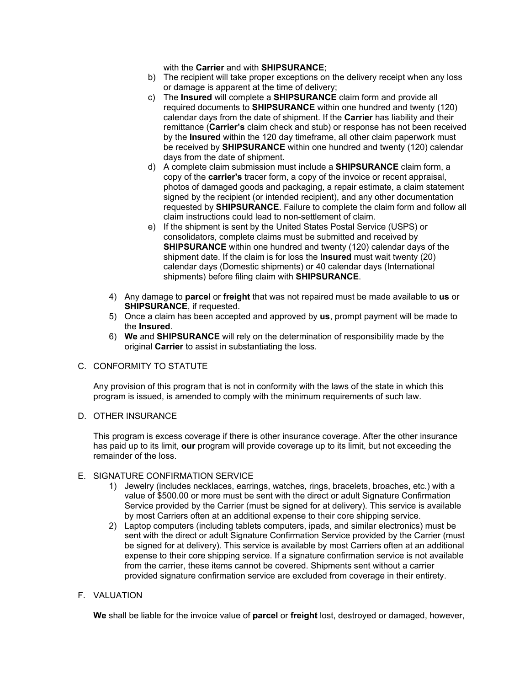with the **Carrier** and with **SHIPSURANCE**;

- b) The recipient will take proper exceptions on the delivery receipt when any loss or damage is apparent at the time of delivery;
- c) The **Insured** will complete a **SHIPSURANCE** claim form and provide all required documents to **SHIPSURANCE** within one hundred and twenty (120) calendar days from the date of shipment. If the **Carrier** has liability and their remittance (**Carrier's** claim check and stub) or response has not been received by the **Insured** within the 120 day timeframe, all other claim paperwork must be received by **SHIPSURANCE** within one hundred and twenty (120) calendar days from the date of shipment.
- d) A complete claim submission must include a **SHIPSURANCE** claim form, a copy of the **carrier's** tracer form, a copy of the invoice or recent appraisal, photos of damaged goods and packaging, a repair estimate, a claim statement signed by the recipient (or intended recipient), and any other documentation requested by **SHIPSURANCE**. Failure to complete the claim form and follow all claim instructions could lead to non-settlement of claim.
- e) If the shipment is sent by the United States Postal Service (USPS) or consolidators, complete claims must be submitted and received by **SHIPSURANCE** within one hundred and twenty (120) calendar days of the shipment date. If the claim is for loss the **Insured** must wait twenty (20) calendar days (Domestic shipments) or 40 calendar days (International shipments) before filing claim with **SHIPSURANCE**.
- 4) Any damage to **parcel** or **freight** that was not repaired must be made available to **us** or **SHIPSURANCE**, if requested.
- 5) Once a claim has been accepted and approved by **us**, prompt payment will be made to the **Insured**.
- 6) **We** and **SHIPSURANCE** will rely on the determination of responsibility made by the original **Carrier** to assist in substantiating the loss.

# C. CONFORMITY TO STATUTE

Any provision of this program that is not in conformity with the laws of the state in which this program is issued, is amended to comply with the minimum requirements of such law.

# D. OTHER INSURANCE

This program is excess coverage if there is other insurance coverage. After the other insurance has paid up to its limit, **our** program will provide coverage up to its limit, but not exceeding the remainder of the loss.

# E. SIGNATURE CONFIRMATION SERVICE

- 1) Jewelry (includes necklaces, earrings, watches, rings, bracelets, broaches, etc.) with a value of \$500.00 or more must be sent with the direct or adult Signature Confirmation Service provided by the Carrier (must be signed for at delivery). This service is available by most Carriers often at an additional expense to their core shipping service.
- 2) Laptop computers (including tablets computers, ipads, and similar electronics) must be sent with the direct or adult Signature Confirmation Service provided by the Carrier (must be signed for at delivery). This service is available by most Carriers often at an additional expense to their core shipping service. If a signature confirmation service is not available from the carrier, these items cannot be covered. Shipments sent without a carrier provided signature confirmation service are excluded from coverage in their entirety.

# F. VALUATION

**We** shall be liable for the invoice value of **parcel** or **freight** lost, destroyed or damaged, however,